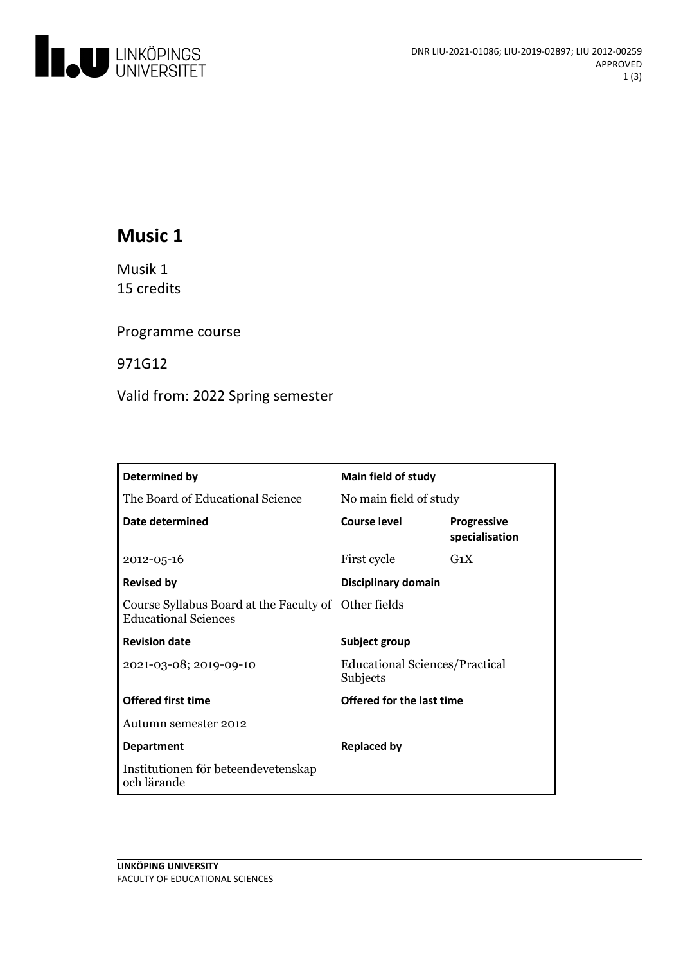

# **Music 1**

Musik 1 15 credits

Programme course

971G12

Valid from: 2022 Spring semester

| Determined by                                                                       | Main field of study                               |                                      |
|-------------------------------------------------------------------------------------|---------------------------------------------------|--------------------------------------|
| The Board of Educational Science                                                    | No main field of study                            |                                      |
| Date determined                                                                     | Course level                                      | <b>Progressive</b><br>specialisation |
| $2012 - 05 - 16$                                                                    | First cycle                                       | $G_1X$                               |
| <b>Revised by</b>                                                                   | Disciplinary domain                               |                                      |
| Course Syllabus Board at the Faculty of Other fields<br><b>Educational Sciences</b> |                                                   |                                      |
| <b>Revision date</b>                                                                | Subject group                                     |                                      |
| 2021-03-08; 2019-09-10                                                              | <b>Educational Sciences/Practical</b><br>Subjects |                                      |
| <b>Offered first time</b>                                                           | Offered for the last time                         |                                      |
| Autumn semester 2012                                                                |                                                   |                                      |
| <b>Department</b>                                                                   | <b>Replaced by</b>                                |                                      |
| Institutionen för beteendevetenskap<br>och lärande                                  |                                                   |                                      |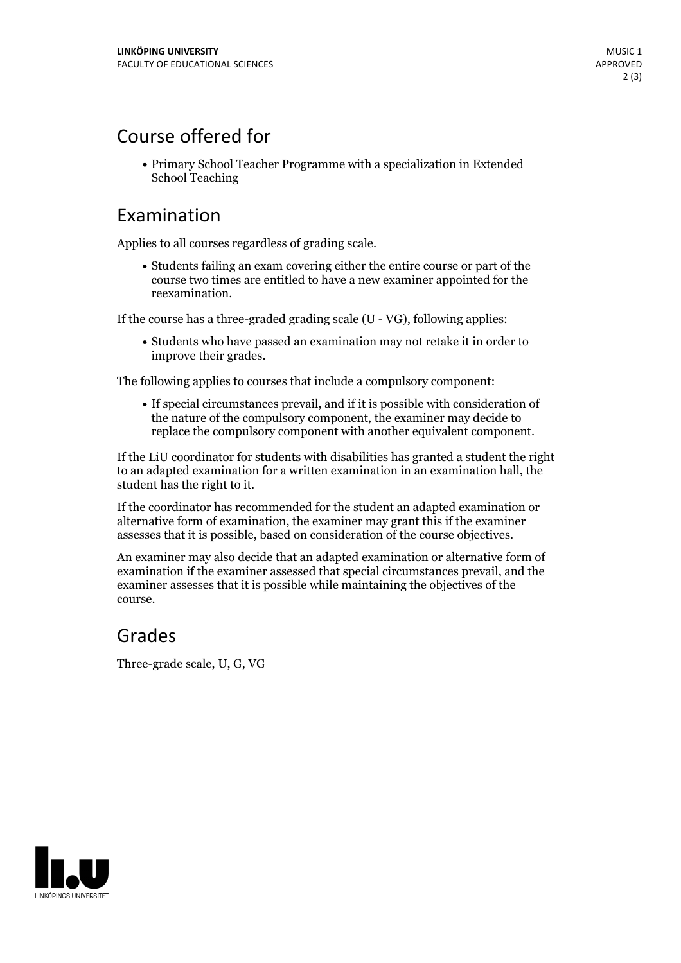## Course offered for

Primary School Teacher Programme with a specialization in Extended School Teaching

#### Examination

Applies to all courses regardless of grading scale.

Students failing an exam covering either the entire course or part of the course two times are entitled to have a new examiner appointed for the reexamination.

If the course has a three-graded grading scale (U - VG), following applies:

Students who have passed an examination may not retake it in order to improve their grades.

The following applies to courses that include a compulsory component:

If special circumstances prevail, and if it is possible with consideration of the nature of the compulsory component, the examiner may decide to replace the compulsory component with another equivalent component.

If the LiU coordinator for students with disabilities has granted a student the right to an adapted examination for a written examination in an examination hall, the student has the right to it.

If the coordinator has recommended for the student an adapted examination or alternative form of examination, the examiner may grant this if the examiner assesses that it is possible, based on consideration of the course objectives.

An examiner may also decide that an adapted examination or alternative form of examination if the examiner assessed that special circumstances prevail, and the examiner assesses that it is possible while maintaining the objectives of the course.

#### Grades

Three-grade scale, U, G, VG